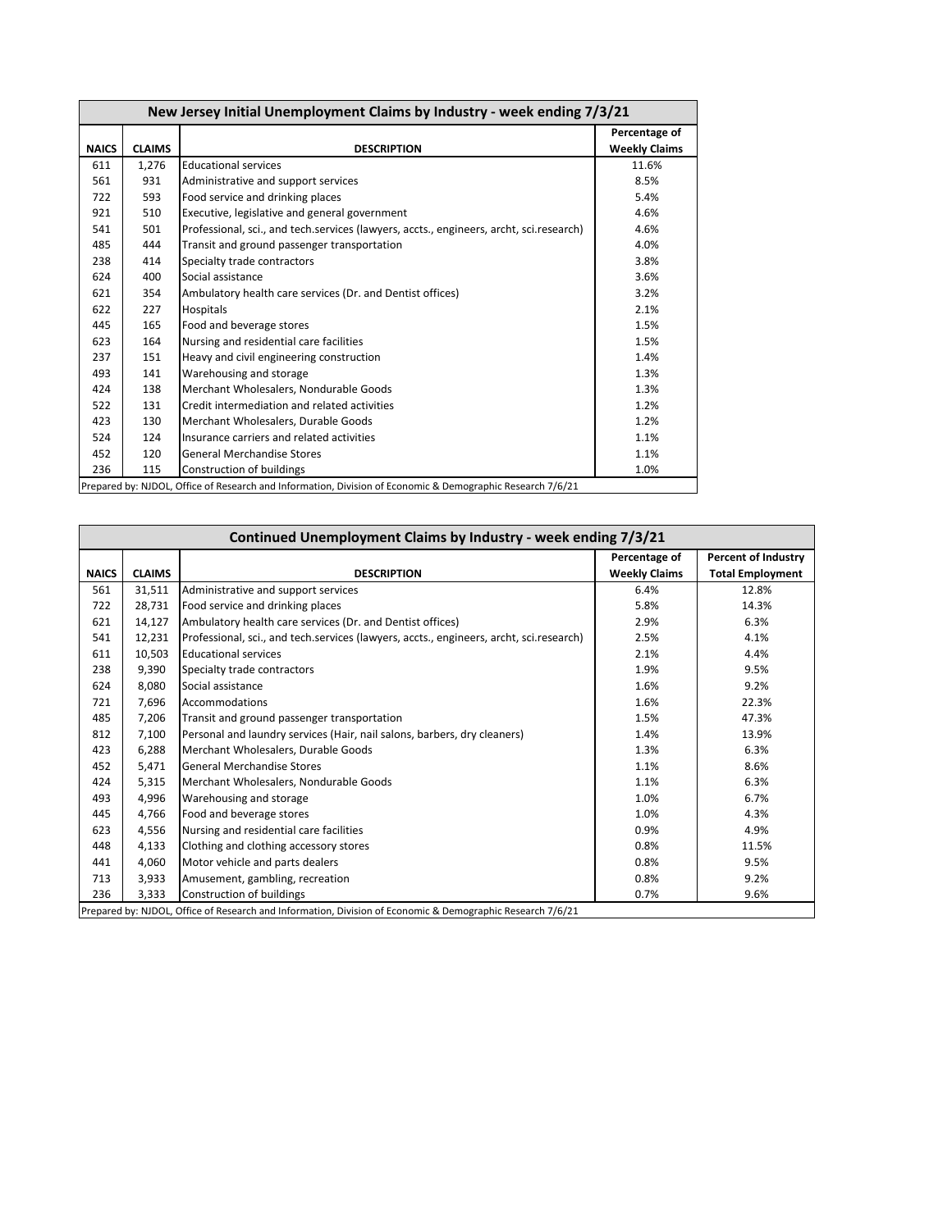| New Jersey Initial Unemployment Claims by Industry - week ending 7/3/21                                    |               |                                                                                         |                      |  |  |  |
|------------------------------------------------------------------------------------------------------------|---------------|-----------------------------------------------------------------------------------------|----------------------|--|--|--|
|                                                                                                            |               |                                                                                         | Percentage of        |  |  |  |
| <b>NAICS</b>                                                                                               | <b>CLAIMS</b> | <b>DESCRIPTION</b>                                                                      | <b>Weekly Claims</b> |  |  |  |
| 611                                                                                                        | 1,276         | <b>Educational services</b>                                                             | 11.6%                |  |  |  |
| 561                                                                                                        | 931           | Administrative and support services                                                     | 8.5%                 |  |  |  |
| 722                                                                                                        | 593           | Food service and drinking places                                                        | 5.4%                 |  |  |  |
| 921                                                                                                        | 510           | Executive, legislative and general government                                           | 4.6%                 |  |  |  |
| 541                                                                                                        | 501           | Professional, sci., and tech.services (lawyers, accts., engineers, archt, sci.research) | 4.6%                 |  |  |  |
| 485                                                                                                        | 444           | Transit and ground passenger transportation                                             | 4.0%                 |  |  |  |
| 238                                                                                                        | 414           | Specialty trade contractors                                                             | 3.8%                 |  |  |  |
| 624                                                                                                        | 400           | Social assistance                                                                       | 3.6%                 |  |  |  |
| 621                                                                                                        | 354           | Ambulatory health care services (Dr. and Dentist offices)                               | 3.2%                 |  |  |  |
| 622                                                                                                        | 227           | Hospitals                                                                               | 2.1%                 |  |  |  |
| 445                                                                                                        | 165           | Food and beverage stores                                                                | 1.5%                 |  |  |  |
| 623                                                                                                        | 164           | Nursing and residential care facilities                                                 | 1.5%                 |  |  |  |
| 237                                                                                                        | 151           | Heavy and civil engineering construction                                                | 1.4%                 |  |  |  |
| 493                                                                                                        | 141           | Warehousing and storage                                                                 | 1.3%                 |  |  |  |
| 424                                                                                                        | 138           | Merchant Wholesalers, Nondurable Goods                                                  | 1.3%                 |  |  |  |
| 522                                                                                                        | 131           | Credit intermediation and related activities                                            | 1.2%                 |  |  |  |
| 423                                                                                                        | 130           | Merchant Wholesalers, Durable Goods                                                     | 1.2%                 |  |  |  |
| 524                                                                                                        | 124           | Insurance carriers and related activities                                               | 1.1%                 |  |  |  |
| 452                                                                                                        | 120           | <b>General Merchandise Stores</b>                                                       | 1.1%                 |  |  |  |
| 236                                                                                                        | 115           | Construction of buildings                                                               | 1.0%                 |  |  |  |
| Prepared by: NJDOL, Office of Research and Information, Division of Economic & Demographic Research 7/6/21 |               |                                                                                         |                      |  |  |  |

| Continued Unemployment Claims by Industry - week ending 7/3/21 |                                                                                                            |                                                                                         |                      |                            |  |  |  |  |
|----------------------------------------------------------------|------------------------------------------------------------------------------------------------------------|-----------------------------------------------------------------------------------------|----------------------|----------------------------|--|--|--|--|
|                                                                |                                                                                                            |                                                                                         | Percentage of        | <b>Percent of Industry</b> |  |  |  |  |
| <b>NAICS</b>                                                   | <b>CLAIMS</b>                                                                                              | <b>DESCRIPTION</b>                                                                      | <b>Weekly Claims</b> | <b>Total Employment</b>    |  |  |  |  |
| 561                                                            | 31,511                                                                                                     | Administrative and support services                                                     | 6.4%                 | 12.8%                      |  |  |  |  |
| 722                                                            | 28.731                                                                                                     | Food service and drinking places                                                        | 5.8%                 | 14.3%                      |  |  |  |  |
| 621                                                            | 14.127                                                                                                     | Ambulatory health care services (Dr. and Dentist offices)                               | 2.9%                 | 6.3%                       |  |  |  |  |
| 541                                                            | 12,231                                                                                                     | Professional, sci., and tech.services (lawyers, accts., engineers, archt, sci.research) | 2.5%                 | 4.1%                       |  |  |  |  |
| 611                                                            | 10,503                                                                                                     | <b>Educational services</b>                                                             | 2.1%                 | 4.4%                       |  |  |  |  |
| 238                                                            | 9,390                                                                                                      | Specialty trade contractors                                                             | 1.9%                 | 9.5%                       |  |  |  |  |
| 624                                                            | 8,080                                                                                                      | Social assistance                                                                       | 1.6%                 | 9.2%                       |  |  |  |  |
| 721                                                            | 7,696                                                                                                      | Accommodations                                                                          | 1.6%                 | 22.3%                      |  |  |  |  |
| 485                                                            | 7,206                                                                                                      | Transit and ground passenger transportation                                             | 1.5%                 | 47.3%                      |  |  |  |  |
| 812                                                            | 7,100                                                                                                      | Personal and laundry services (Hair, nail salons, barbers, dry cleaners)                | 1.4%                 | 13.9%                      |  |  |  |  |
| 423                                                            | 6,288                                                                                                      | Merchant Wholesalers, Durable Goods                                                     | 1.3%                 | 6.3%                       |  |  |  |  |
| 452                                                            | 5,471                                                                                                      | <b>General Merchandise Stores</b>                                                       | 1.1%                 | 8.6%                       |  |  |  |  |
| 424                                                            | 5,315                                                                                                      | Merchant Wholesalers, Nondurable Goods                                                  | 1.1%                 | 6.3%                       |  |  |  |  |
| 493                                                            | 4,996                                                                                                      | Warehousing and storage                                                                 | 1.0%                 | 6.7%                       |  |  |  |  |
| 445                                                            | 4,766                                                                                                      | Food and beverage stores                                                                | 1.0%                 | 4.3%                       |  |  |  |  |
| 623                                                            | 4,556                                                                                                      | Nursing and residential care facilities                                                 | 0.9%                 | 4.9%                       |  |  |  |  |
| 448                                                            | 4,133                                                                                                      | Clothing and clothing accessory stores                                                  | 0.8%                 | 11.5%                      |  |  |  |  |
| 441                                                            | 4,060                                                                                                      | Motor vehicle and parts dealers                                                         | 0.8%                 | 9.5%                       |  |  |  |  |
| 713                                                            | 3,933                                                                                                      | Amusement, gambling, recreation                                                         | 0.8%                 | 9.2%                       |  |  |  |  |
| 236                                                            | Construction of buildings<br>3.333<br>0.7%<br>9.6%                                                         |                                                                                         |                      |                            |  |  |  |  |
|                                                                | Prepared by: NJDOL, Office of Research and Information, Division of Economic & Demographic Research 7/6/21 |                                                                                         |                      |                            |  |  |  |  |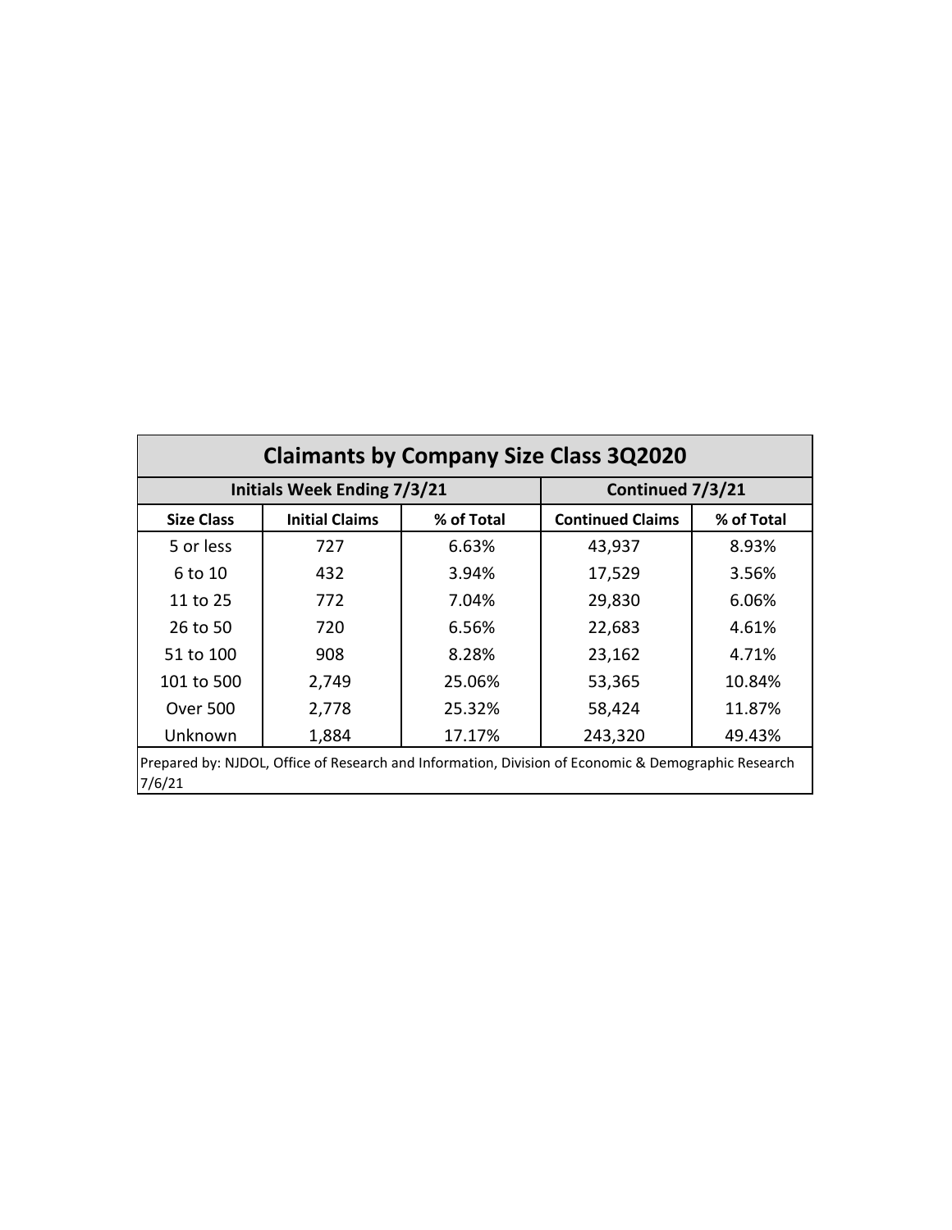| <b>Claimants by Company Size Class 3Q2020</b>                                                                 |                                     |                  |                         |            |  |  |  |
|---------------------------------------------------------------------------------------------------------------|-------------------------------------|------------------|-------------------------|------------|--|--|--|
|                                                                                                               | <b>Initials Week Ending 7/3/21</b>  | Continued 7/3/21 |                         |            |  |  |  |
| <b>Size Class</b>                                                                                             | <b>Initial Claims</b><br>% of Total |                  | <b>Continued Claims</b> | % of Total |  |  |  |
| 5 or less                                                                                                     | 727                                 | 6.63%            | 43,937                  | 8.93%      |  |  |  |
| 6 to 10                                                                                                       | 432                                 | 3.94%            | 17,529                  | 3.56%      |  |  |  |
| 11 to 25<br>772                                                                                               |                                     | 7.04%            | 29,830                  | 6.06%      |  |  |  |
| 26 to 50<br>720                                                                                               |                                     | 6.56%            | 22,683                  | 4.61%      |  |  |  |
| 51 to 100                                                                                                     | 908                                 | 8.28%            | 23,162                  | 4.71%      |  |  |  |
| 101 to 500                                                                                                    | 2,749                               | 25.06%           | 53,365                  | 10.84%     |  |  |  |
| <b>Over 500</b>                                                                                               | 2,778                               | 25.32%           | 58,424                  | 11.87%     |  |  |  |
| Unknown                                                                                                       | 1,884                               | 17.17%           | 243,320                 | 49.43%     |  |  |  |
| Prepared by: NJDOL, Office of Research and Information, Division of Economic & Demographic Research<br>7/6/21 |                                     |                  |                         |            |  |  |  |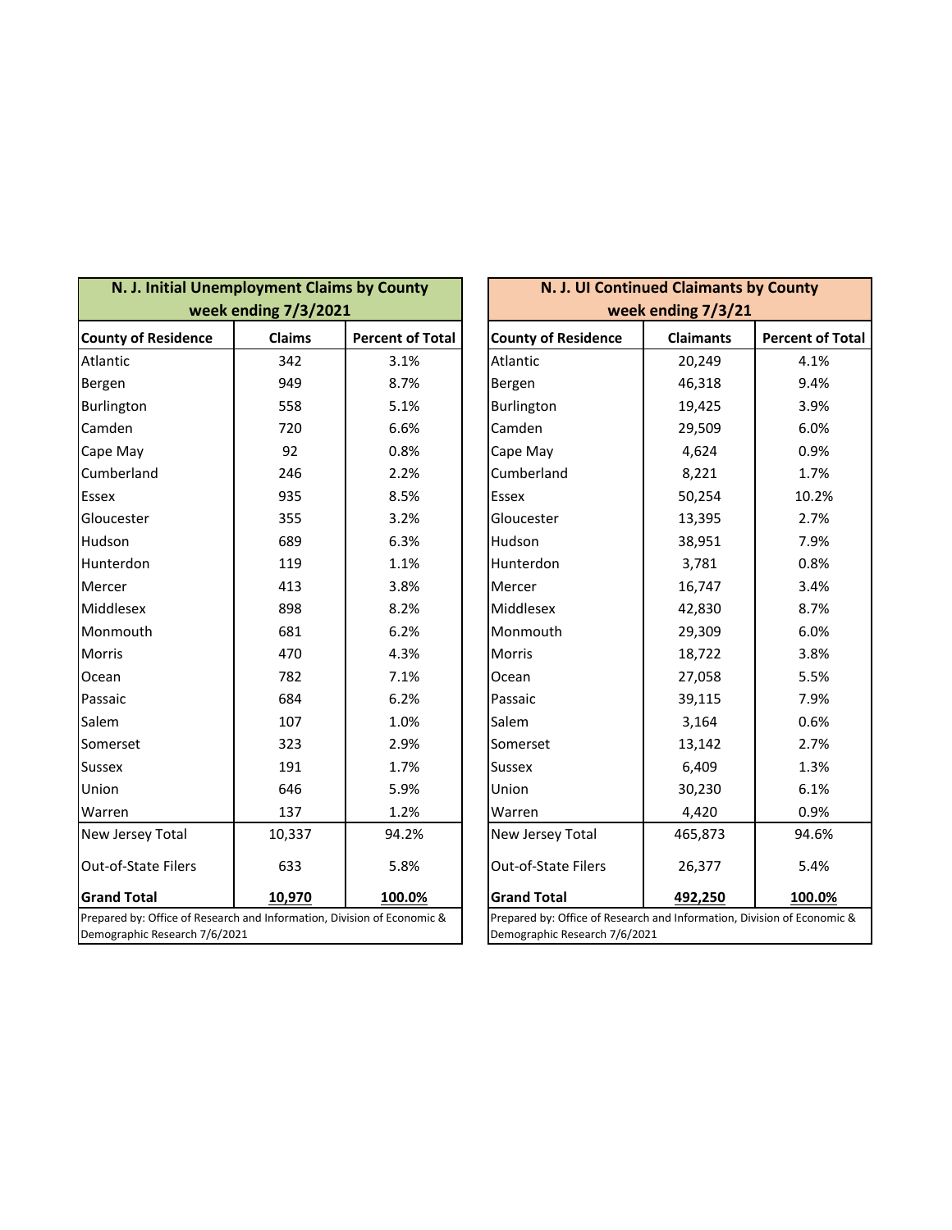| N. J. Initial Unemployment Claims by County                                                              | week ending 7/3/2021 |                         | N. J. UI Continued Claimants by County<br>week ending 7/3/21                                             |                  |                         |
|----------------------------------------------------------------------------------------------------------|----------------------|-------------------------|----------------------------------------------------------------------------------------------------------|------------------|-------------------------|
| <b>County of Residence</b>                                                                               | <b>Claims</b>        | <b>Percent of Total</b> | <b>County of Residence</b>                                                                               | <b>Claimants</b> | <b>Percent of Total</b> |
| Atlantic                                                                                                 | 342                  | 3.1%                    | Atlantic                                                                                                 | 20,249           | 4.1%                    |
| Bergen                                                                                                   | 949                  | 8.7%                    | Bergen                                                                                                   | 46,318           | 9.4%                    |
| Burlington                                                                                               | 558                  | 5.1%                    | Burlington                                                                                               | 19,425           | 3.9%                    |
| Camden                                                                                                   | 720                  | 6.6%                    | Camden                                                                                                   | 29,509           | 6.0%                    |
| Cape May                                                                                                 | 92                   | 0.8%                    | Cape May                                                                                                 | 4,624            | 0.9%                    |
| Cumberland                                                                                               | 246                  | 2.2%                    | Cumberland                                                                                               | 8,221            | 1.7%                    |
| <b>Essex</b>                                                                                             | 935                  | 8.5%                    | Essex                                                                                                    | 50,254           | 10.2%                   |
| Gloucester                                                                                               | 355                  | 3.2%                    | Gloucester                                                                                               | 13,395           | 2.7%                    |
| Hudson                                                                                                   | 689                  | 6.3%                    | Hudson                                                                                                   | 38,951           | 7.9%                    |
| Hunterdon                                                                                                | 119                  | 1.1%                    | Hunterdon                                                                                                | 3,781            | 0.8%                    |
| Mercer                                                                                                   | 413                  | 3.8%                    | Mercer                                                                                                   | 16,747           | 3.4%                    |
| Middlesex                                                                                                | 898                  | 8.2%                    | Middlesex                                                                                                | 42,830           | 8.7%                    |
| Monmouth                                                                                                 | 681                  | 6.2%                    | Monmouth                                                                                                 | 29,309           | 6.0%                    |
| <b>Morris</b>                                                                                            | 470                  | 4.3%                    | Morris                                                                                                   | 18,722           | 3.8%                    |
| Ocean                                                                                                    | 782                  | 7.1%                    | Ocean                                                                                                    | 27,058           | 5.5%                    |
| Passaic                                                                                                  | 684                  | 6.2%                    | Passaic                                                                                                  | 39,115           | 7.9%                    |
| Salem                                                                                                    | 107                  | 1.0%                    | Salem                                                                                                    | 3,164            | 0.6%                    |
| Somerset                                                                                                 | 323                  | 2.9%                    | Somerset                                                                                                 | 13,142           | 2.7%                    |
| <b>Sussex</b>                                                                                            | 191                  | 1.7%                    | <b>Sussex</b>                                                                                            | 6,409            | 1.3%                    |
| Union                                                                                                    | 646                  | 5.9%                    | Union                                                                                                    | 30,230           | 6.1%                    |
| Warren                                                                                                   | 137                  | 1.2%                    | Warren                                                                                                   | 4,420            | 0.9%                    |
| New Jersey Total                                                                                         | 10,337               | 94.2%                   | New Jersey Total                                                                                         | 465,873          | 94.6%                   |
| Out-of-State Filers                                                                                      | 633                  | 5.8%                    | Out-of-State Filers                                                                                      | 26,377           | 5.4%                    |
| <b>Grand Total</b>                                                                                       | 10,970               | 100.0%                  | <b>Grand Total</b>                                                                                       | 492,250          | 100.0%                  |
| Prepared by: Office of Research and Information, Division of Economic &<br>Demographic Research 7/6/2021 |                      |                         | Prepared by: Office of Research and Information, Division of Economic &<br>Demographic Research 7/6/2021 |                  |                         |

| N. J. UI Continued Claimants by County                                                                   |                  |                         |  |  |  |  |
|----------------------------------------------------------------------------------------------------------|------------------|-------------------------|--|--|--|--|
| week ending 7/3/21                                                                                       |                  |                         |  |  |  |  |
| <b>County of Residence</b>                                                                               | <b>Claimants</b> | <b>Percent of Total</b> |  |  |  |  |
| Atlantic                                                                                                 | 20,249           | 4.1%                    |  |  |  |  |
| Bergen                                                                                                   | 46,318           | 9.4%                    |  |  |  |  |
| Burlington                                                                                               | 19,425           | 3.9%                    |  |  |  |  |
| Camden                                                                                                   | 29,509           | 6.0%                    |  |  |  |  |
| Cape May                                                                                                 | 4,624            | 0.9%                    |  |  |  |  |
| Cumberland                                                                                               | 8,221            | 1.7%                    |  |  |  |  |
| Essex                                                                                                    | 50,254           | 10.2%                   |  |  |  |  |
| Gloucester                                                                                               | 13,395           | 2.7%                    |  |  |  |  |
| Hudson                                                                                                   | 38,951           | 7.9%                    |  |  |  |  |
| Hunterdon                                                                                                | 3,781            | 0.8%                    |  |  |  |  |
| Mercer                                                                                                   | 16,747           | 3.4%                    |  |  |  |  |
| Middlesex                                                                                                | 42,830           | 8.7%                    |  |  |  |  |
| Monmouth                                                                                                 | 29,309           | 6.0%                    |  |  |  |  |
| <b>Morris</b>                                                                                            | 18,722           | 3.8%                    |  |  |  |  |
| Ocean                                                                                                    | 27,058           | 5.5%                    |  |  |  |  |
| Passaic                                                                                                  | 39,115           | 7.9%                    |  |  |  |  |
| Salem                                                                                                    | 3,164            | 0.6%                    |  |  |  |  |
| Somerset                                                                                                 | 13,142           | 2.7%                    |  |  |  |  |
| Sussex                                                                                                   | 6,409            | 1.3%                    |  |  |  |  |
| Union                                                                                                    | 30,230           | 6.1%                    |  |  |  |  |
| Warren                                                                                                   | 4,420            | 0.9%                    |  |  |  |  |
| New Jersey Total                                                                                         | 465,873          | 94.6%                   |  |  |  |  |
| Out-of-State Filers                                                                                      | 26,377           | 5.4%                    |  |  |  |  |
| <b>Grand Total</b><br><u>492,250</u><br><u> 100.0%</u>                                                   |                  |                         |  |  |  |  |
| Prepared by: Office of Research and Information, Division of Economic &<br>Demographic Research 7/6/2021 |                  |                         |  |  |  |  |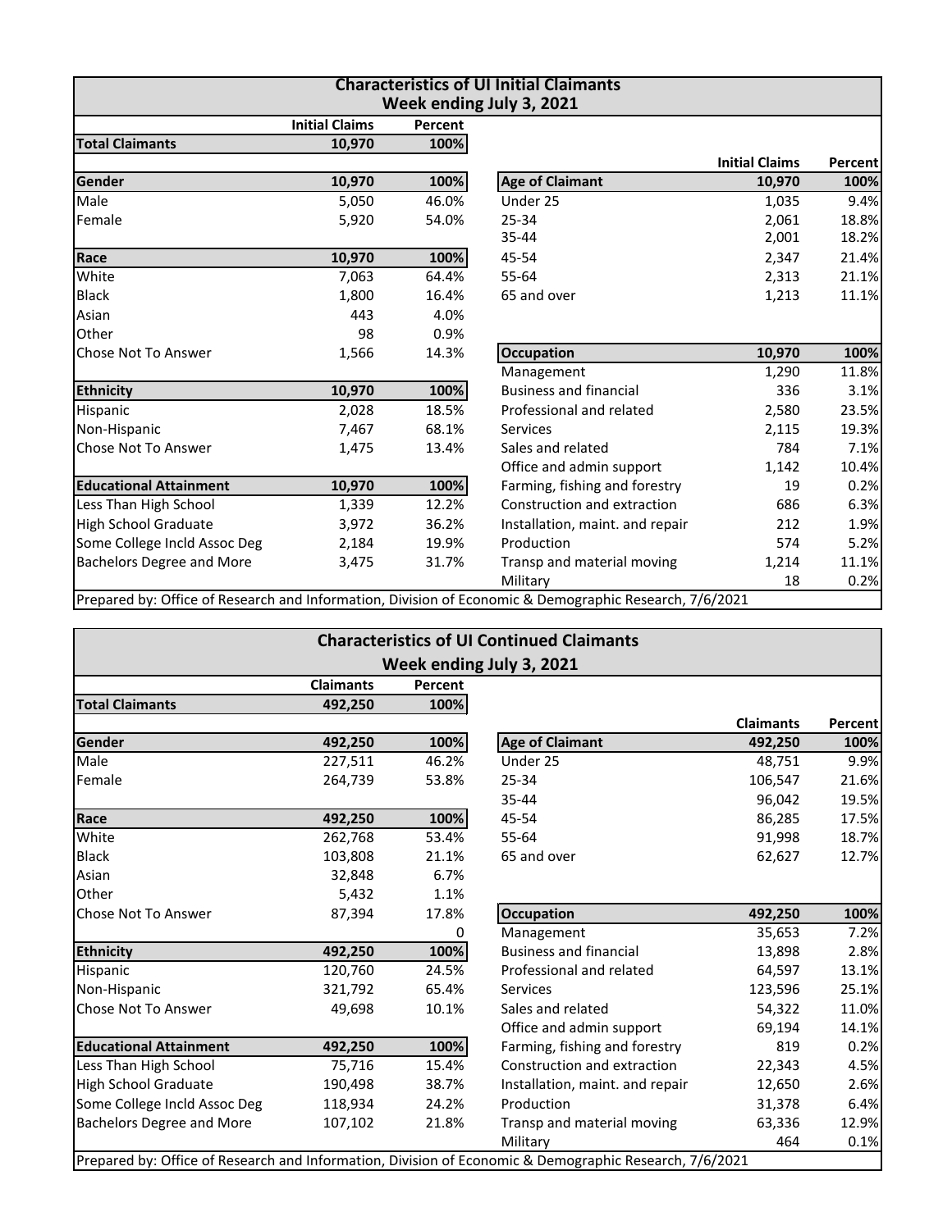| <b>Characteristics of UI Initial Claimants</b><br>Week ending July 3, 2021 |                       |         |                                                                                                        |                       |         |  |
|----------------------------------------------------------------------------|-----------------------|---------|--------------------------------------------------------------------------------------------------------|-----------------------|---------|--|
|                                                                            | <b>Initial Claims</b> | Percent |                                                                                                        |                       |         |  |
| <b>Total Claimants</b>                                                     | 10,970                | 100%    |                                                                                                        |                       |         |  |
|                                                                            |                       |         |                                                                                                        | <b>Initial Claims</b> | Percent |  |
| Gender                                                                     | 10,970                | 100%    | <b>Age of Claimant</b>                                                                                 | 10,970                | 100%    |  |
| Male                                                                       | 5,050                 | 46.0%   | Under 25                                                                                               | 1,035                 | 9.4%    |  |
| Female                                                                     | 5,920                 | 54.0%   | 25-34                                                                                                  | 2,061                 | 18.8%   |  |
|                                                                            |                       |         | 35-44                                                                                                  | 2,001                 | 18.2%   |  |
| Race                                                                       | 10,970                | 100%    | 45-54                                                                                                  | 2,347                 | 21.4%   |  |
| White                                                                      | 7,063                 | 64.4%   | 55-64                                                                                                  | 2,313                 | 21.1%   |  |
| <b>Black</b>                                                               | 1,800                 | 16.4%   | 65 and over                                                                                            | 1,213                 | 11.1%   |  |
| Asian                                                                      | 443                   | 4.0%    |                                                                                                        |                       |         |  |
| Other                                                                      | 98                    | 0.9%    |                                                                                                        |                       |         |  |
| Chose Not To Answer                                                        | 1,566                 | 14.3%   | <b>Occupation</b>                                                                                      | 10,970                | 100%    |  |
|                                                                            |                       |         | Management                                                                                             | 1,290                 | 11.8%   |  |
| <b>Ethnicity</b>                                                           | 10,970                | 100%    | <b>Business and financial</b>                                                                          | 336                   | 3.1%    |  |
| Hispanic                                                                   | 2,028                 | 18.5%   | Professional and related                                                                               | 2,580                 | 23.5%   |  |
| Non-Hispanic                                                               | 7,467                 | 68.1%   | <b>Services</b>                                                                                        | 2,115                 | 19.3%   |  |
| <b>Chose Not To Answer</b>                                                 | 1,475                 | 13.4%   | Sales and related                                                                                      | 784                   | 7.1%    |  |
|                                                                            |                       |         | Office and admin support                                                                               | 1,142                 | 10.4%   |  |
| <b>Educational Attainment</b>                                              | 10,970                | 100%    | Farming, fishing and forestry                                                                          | 19                    | 0.2%    |  |
| Less Than High School                                                      | 1,339                 | 12.2%   | Construction and extraction                                                                            | 686                   | 6.3%    |  |
| High School Graduate                                                       | 3,972                 | 36.2%   | Installation, maint. and repair                                                                        | 212                   | 1.9%    |  |
| Some College Incld Assoc Deg                                               | 2,184                 | 19.9%   | Production                                                                                             | 574                   | 5.2%    |  |
| <b>Bachelors Degree and More</b>                                           | 3,475                 | 31.7%   | Transp and material moving                                                                             | 1,214                 | 11.1%   |  |
|                                                                            |                       |         | Military                                                                                               | 18                    | 0.2%    |  |
|                                                                            |                       |         | Prepared by: Office of Research and Information, Division of Economic & Demographic Research, 7/6/2021 |                       |         |  |

| <b>Characteristics of UI Continued Claimants</b><br>Week ending July 3, 2021 |         |       |                                                                                                        |                  |         |  |  |
|------------------------------------------------------------------------------|---------|-------|--------------------------------------------------------------------------------------------------------|------------------|---------|--|--|
|                                                                              |         |       |                                                                                                        |                  |         |  |  |
| <b>Total Claimants</b>                                                       | 492,250 | 100%  |                                                                                                        |                  |         |  |  |
|                                                                              |         |       |                                                                                                        | <b>Claimants</b> | Percent |  |  |
| Gender                                                                       | 492,250 | 100%  | <b>Age of Claimant</b>                                                                                 | 492,250          | 100%    |  |  |
| Male                                                                         | 227,511 | 46.2% | Under 25                                                                                               | 48,751           | 9.9%    |  |  |
| Female                                                                       | 264,739 | 53.8% | 25-34                                                                                                  | 106,547          | 21.6%   |  |  |
|                                                                              |         |       | 35-44                                                                                                  | 96,042           | 19.5%   |  |  |
| Race                                                                         | 492,250 | 100%  | 45-54                                                                                                  | 86,285           | 17.5%   |  |  |
| White                                                                        | 262,768 | 53.4% | 55-64                                                                                                  | 91,998           | 18.7%   |  |  |
| <b>Black</b>                                                                 | 103,808 | 21.1% | 65 and over                                                                                            | 62,627           | 12.7%   |  |  |
| Asian                                                                        | 32,848  | 6.7%  |                                                                                                        |                  |         |  |  |
| Other                                                                        | 5,432   | 1.1%  |                                                                                                        |                  |         |  |  |
| Chose Not To Answer                                                          | 87,394  | 17.8% | <b>Occupation</b>                                                                                      | 492,250          | 100%    |  |  |
|                                                                              |         | 0     | Management                                                                                             | 35,653           | 7.2%    |  |  |
| <b>Ethnicity</b>                                                             | 492,250 | 100%  | <b>Business and financial</b>                                                                          | 13,898           | 2.8%    |  |  |
| Hispanic                                                                     | 120,760 | 24.5% | Professional and related                                                                               | 64,597           | 13.1%   |  |  |
| Non-Hispanic                                                                 | 321,792 | 65.4% | <b>Services</b>                                                                                        | 123,596          | 25.1%   |  |  |
| Chose Not To Answer                                                          | 49,698  | 10.1% | Sales and related                                                                                      | 54,322           | 11.0%   |  |  |
|                                                                              |         |       | Office and admin support                                                                               | 69,194           | 14.1%   |  |  |
| <b>Educational Attainment</b>                                                | 492,250 | 100%  | Farming, fishing and forestry                                                                          | 819              | 0.2%    |  |  |
| Less Than High School                                                        | 75,716  | 15.4% | Construction and extraction                                                                            | 22,343           | 4.5%    |  |  |
| <b>High School Graduate</b>                                                  | 190,498 | 38.7% | Installation, maint. and repair                                                                        | 12,650           | 2.6%    |  |  |
| Some College Incld Assoc Deg                                                 | 118,934 | 24.2% | Production                                                                                             | 31,378           | 6.4%    |  |  |
| <b>Bachelors Degree and More</b>                                             | 107,102 | 21.8% | Transp and material moving                                                                             | 63,336           | 12.9%   |  |  |
|                                                                              |         |       | Military                                                                                               | 464              | 0.1%    |  |  |
|                                                                              |         |       | Prepared by: Office of Research and Information, Division of Economic & Demographic Research, 7/6/2021 |                  |         |  |  |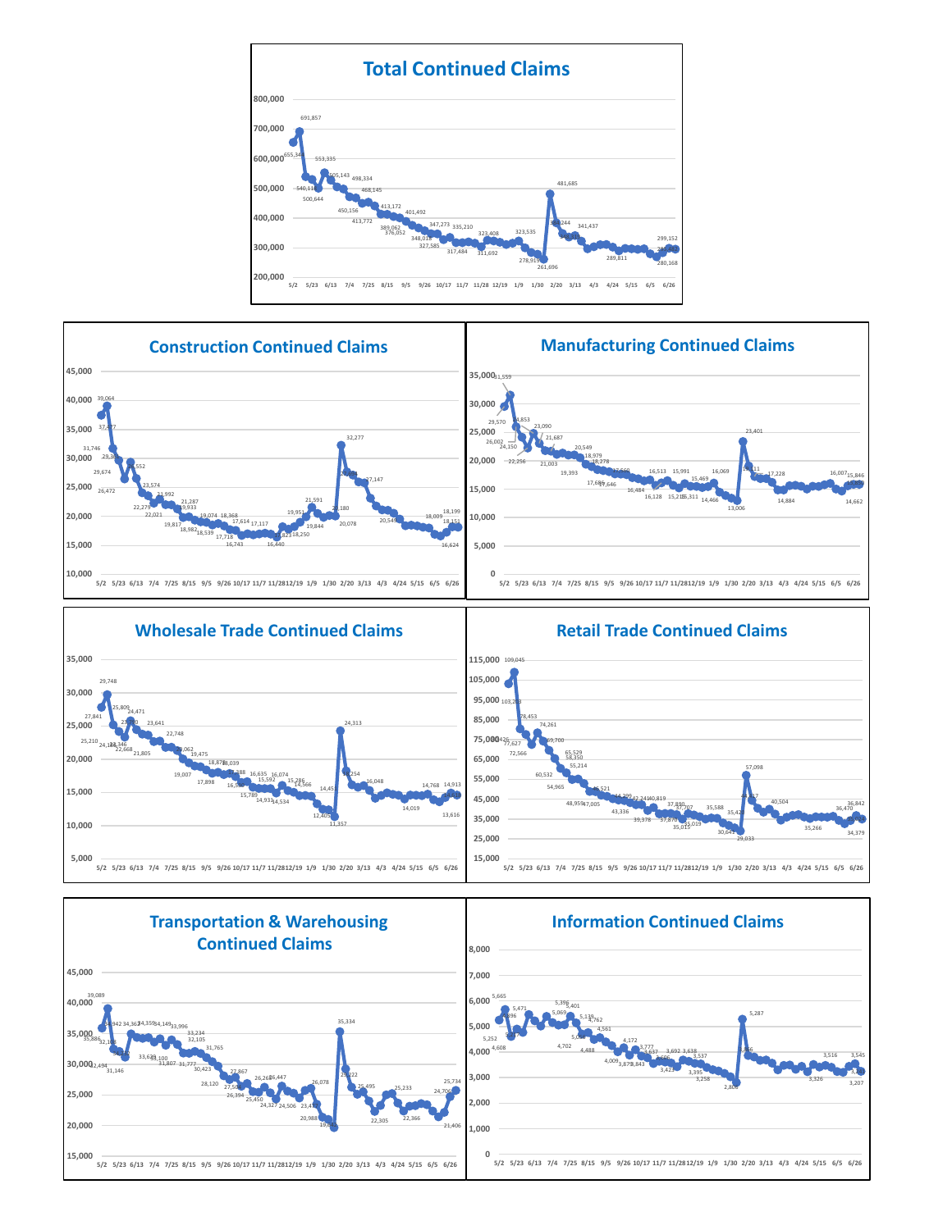









## 44,299 43,336 42,241 39,378 40,819 37,870 37,890 35,015 37,707 35,019 35,588 35,420 30,641 29,033 57,098 44,417 40,504 35,266 36,470 34,379 36,842 35,024